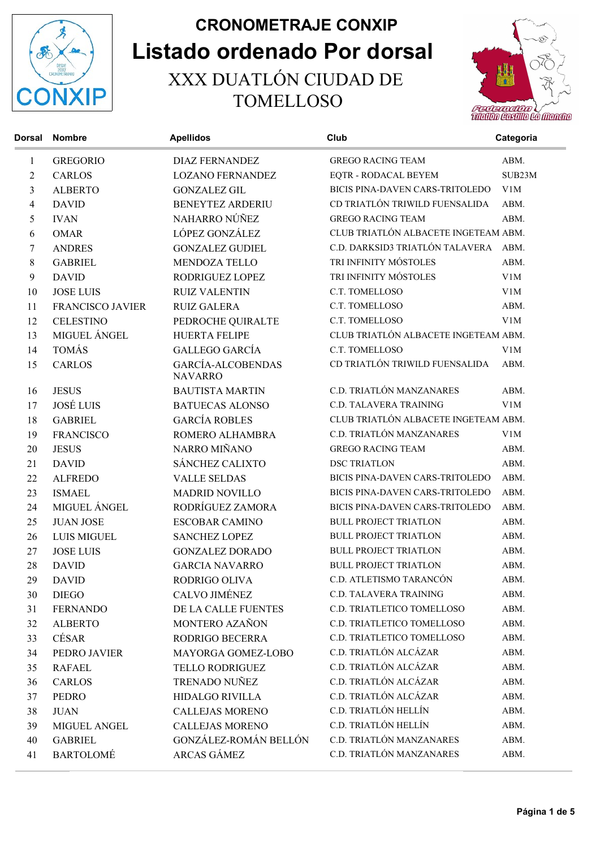

## Listado ordenado Por dorsal CRONOMETRAJE CONXIP XXX DUATLÓN CIUDAD DE TOMELLOSO



| <b>Dorsal</b>  | <b>Nombre</b>           | <b>Apellidos</b>                    | Club                                 | Categoria |
|----------------|-------------------------|-------------------------------------|--------------------------------------|-----------|
| $\mathbf{1}$   | <b>GREGORIO</b>         | <b>DIAZ FERNANDEZ</b>               | <b>GREGO RACING TEAM</b>             | ABM.      |
| $\sqrt{2}$     | <b>CARLOS</b>           | <b>LOZANO FERNANDEZ</b>             | EQTR - RODACAL BEYEM                 | SUB23M    |
| $\overline{3}$ | <b>ALBERTO</b>          | <b>GONZALEZ GIL</b>                 | BICIS PINA-DAVEN CARS-TRITOLEDO      | V1M       |
| $\overline{4}$ | <b>DAVID</b>            | <b>BENEYTEZ ARDERIU</b>             | CD TRIATLÓN TRIWILD FUENSALIDA       | ABM.      |
| 5              | <b>IVAN</b>             | NAHARRO NÚÑEZ                       | <b>GREGO RACING TEAM</b>             | ABM.      |
| 6              | <b>OMAR</b>             | LÓPEZ GONZÁLEZ                      | CLUB TRIATLÓN ALBACETE INGETEAM ABM. |           |
| 7              | <b>ANDRES</b>           | <b>GONZALEZ GUDIEL</b>              | C.D. DARKSID3 TRIATLÓN TALAVERA      | ABM.      |
| 8              | <b>GABRIEL</b>          | <b>MENDOZA TELLO</b>                | TRI INFINITY MÓSTOLES                | ABM.      |
| 9              | <b>DAVID</b>            | RODRIGUEZ LOPEZ                     | TRI INFINITY MÓSTOLES                | V1M       |
| 10             | <b>JOSE LUIS</b>        | <b>RUIZ VALENTIN</b>                | C.T. TOMELLOSO                       | V1M       |
| 11             | <b>FRANCISCO JAVIER</b> | <b>RUIZ GALERA</b>                  | C.T. TOMELLOSO                       | ABM.      |
| 12             | <b>CELESTINO</b>        | PEDROCHE QUIRALTE                   | C.T. TOMELLOSO                       | V1M       |
| 13             | MIGUEL ÁNGEL            | HUERTA FELIPE                       | CLUB TRIATLÓN ALBACETE INGETEAM ABM. |           |
| 14             | <b>TOMÁS</b>            | <b>GALLEGO GARCÍA</b>               | C.T. TOMELLOSO                       | V1M       |
| 15             | <b>CARLOS</b>           | GARCÍA-ALCOBENDAS<br><b>NAVARRO</b> | CD TRIATLÓN TRIWILD FUENSALIDA       | ABM.      |
| 16             | <b>JESUS</b>            | <b>BAUTISTA MARTIN</b>              | C.D. TRIATLÓN MANZANARES             | ABM.      |
| 17             | <b>JOSÉ LUIS</b>        | <b>BATUECAS ALONSO</b>              | C.D. TALAVERA TRAINING               | V1M       |
| 18             | <b>GABRIEL</b>          | <b>GARCÍA ROBLES</b>                | CLUB TRIATLÓN ALBACETE INGETEAM ABM. |           |
| 19             | <b>FRANCISCO</b>        | ROMERO ALHAMBRA                     | C.D. TRIATLÓN MANZANARES             | V1M       |
| 20             | <b>JESUS</b>            | NARRO MIÑANO                        | <b>GREGO RACING TEAM</b>             | ABM.      |
| 21             | <b>DAVID</b>            | SÁNCHEZ CALIXTO                     | <b>DSC TRIATLON</b>                  | ABM.      |
| 22             | <b>ALFREDO</b>          | <b>VALLE SELDAS</b>                 | BICIS PINA-DAVEN CARS-TRITOLEDO      | ABM.      |
| 23             | <b>ISMAEL</b>           | <b>MADRID NOVILLO</b>               | BICIS PINA-DAVEN CARS-TRITOLEDO      | ABM.      |
| 24             | MIGUEL ÁNGEL            | RODRÍGUEZ ZAMORA                    | BICIS PINA-DAVEN CARS-TRITOLEDO      | ABM.      |
| 25             | <b>JUAN JOSE</b>        | <b>ESCOBAR CAMINO</b>               | <b>BULL PROJECT TRIATLON</b>         | ABM.      |
| 26             | <b>LUIS MIGUEL</b>      | <b>SANCHEZ LOPEZ</b>                | <b>BULL PROJECT TRIATLON</b>         | ABM.      |
| 27             | <b>JOSE LUIS</b>        | <b>GONZALEZ DORADO</b>              | <b>BULL PROJECT TRIATLON</b>         | ABM.      |
| 28             | <b>DAVID</b>            | <b>GARCIA NAVARRO</b>               | <b>BULL PROJECT TRIATLON</b>         | ABM.      |
| 29             | <b>DAVID</b>            | RODRIGO OLIVA                       | C.D. ATLETISMO TARANCÓN              | ABM.      |
| 30             | <b>DIEGO</b>            | CALVO JIMÉNEZ                       | C.D. TALAVERA TRAINING               | ABM.      |
| 31             | <b>FERNANDO</b>         | DE LA CALLE FUENTES                 | C.D. TRIATLETICO TOMELLOSO           | ABM.      |
| 32             | <b>ALBERTO</b>          | MONTERO AZAÑON                      | C.D. TRIATLETICO TOMELLOSO           | ABM.      |
| 33             | CÉSAR                   | RODRIGO BECERRA                     | C.D. TRIATLETICO TOMELLOSO           | ABM.      |
| 34             | PEDRO JAVIER            | MAYORGA GOMEZ-LOBO                  | C.D. TRIATLÓN ALCÁZAR                | ABM.      |
| 35             | <b>RAFAEL</b>           | TELLO RODRIGUEZ                     | C.D. TRIATLÓN ALCÁZAR                | ABM.      |
| 36             | <b>CARLOS</b>           | <b>TRENADO NUÑEZ</b>                | C.D. TRIATLÓN ALCÁZAR                | ABM.      |
| 37             | PEDRO                   | <b>HIDALGO RIVILLA</b>              | C.D. TRIATLÓN ALCÁZAR                | ABM.      |
| 38             | <b>JUAN</b>             | <b>CALLEJAS MORENO</b>              | C.D. TRIATLÓN HELLÍN                 | ABM.      |
| 39             | MIGUEL ANGEL            | <b>CALLEJAS MORENO</b>              | C.D. TRIATLÓN HELLÍN                 | ABM.      |
| 40             | <b>GABRIEL</b>          | GONZÁLEZ-ROMÁN BELLÓN               | C.D. TRIATLÓN MANZANARES             | ABM.      |
| 41             | <b>BARTOLOMÉ</b>        | ARCAS GÁMEZ                         | C.D. TRIATLÓN MANZANARES             | ABM.      |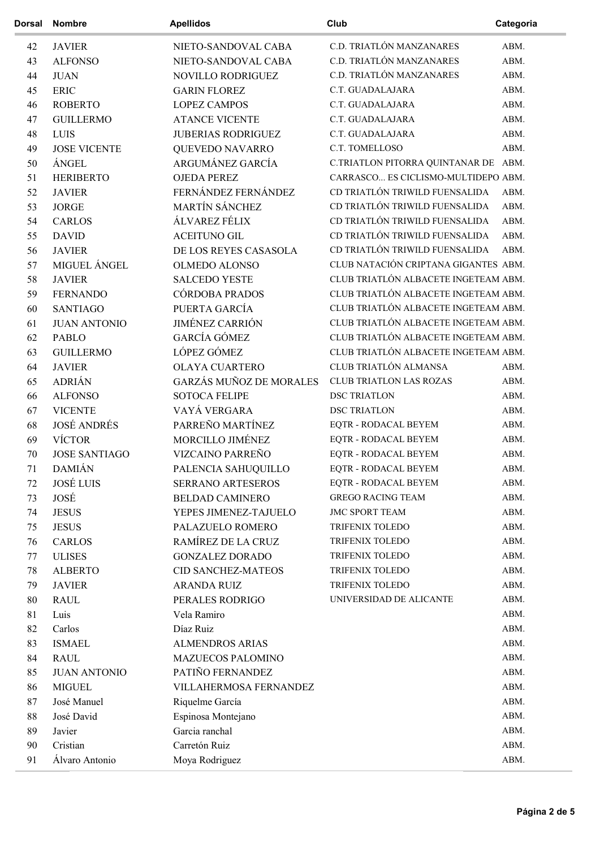| <b>Dorsal</b> | <b>Nombre</b>        | <b>Apellidos</b>               | Club                                 | Categoria |
|---------------|----------------------|--------------------------------|--------------------------------------|-----------|
| 42            | <b>JAVIER</b>        | NIETO-SANDOVAL CABA            | C.D. TRIATLÓN MANZANARES             | ABM.      |
| 43            | <b>ALFONSO</b>       | NIETO-SANDOVAL CABA            | C.D. TRIATLÓN MANZANARES             | ABM.      |
| 44            | <b>JUAN</b>          | NOVILLO RODRIGUEZ              | C.D. TRIATLÓN MANZANARES             | ABM.      |
| 45            | <b>ERIC</b>          | <b>GARIN FLOREZ</b>            | C.T. GUADALAJARA                     | ABM.      |
| 46            | <b>ROBERTO</b>       | <b>LOPEZ CAMPOS</b>            | C.T. GUADALAJARA                     | ABM.      |
| 47            | <b>GUILLERMO</b>     | <b>ATANCE VICENTE</b>          | C.T. GUADALAJARA                     | ABM.      |
| 48            | LUIS                 | <b>JUBERIAS RODRIGUEZ</b>      | C.T. GUADALAJARA                     | ABM.      |
| 49            | <b>JOSE VICENTE</b>  | QUEVEDO NAVARRO                | C.T. TOMELLOSO                       | ABM.      |
| 50            | <b>ÁNGEL</b>         | ARGUMÁNEZ GARCÍA               | C.TRIATLON PITORRA QUINTANAR DE ABM. |           |
| 51            | <b>HERIBERTO</b>     | OJEDA PEREZ                    | CARRASCO ES CICLISMO-MULTIDEPO ABM.  |           |
| 52            | <b>JAVIER</b>        | FERNÁNDEZ FERNÁNDEZ            | CD TRIATLÓN TRIWILD FUENSALIDA       | ABM.      |
| 53            | <b>JORGE</b>         | MARTÍN SÁNCHEZ                 | CD TRIATLÓN TRIWILD FUENSALIDA       | ABM.      |
| 54            | <b>CARLOS</b>        | ÁLVAREZ FÉLIX                  | CD TRIATLÓN TRIWILD FUENSALIDA       | ABM.      |
| 55            | <b>DAVID</b>         | <b>ACEITUNO GIL</b>            | CD TRIATLÓN TRIWILD FUENSALIDA       | ABM.      |
| 56            | <b>JAVIER</b>        | DE LOS REYES CASASOLA          | CD TRIATLÓN TRIWILD FUENSALIDA       | ABM.      |
| 57            | MIGUEL ÁNGEL         | <b>OLMEDO ALONSO</b>           | CLUB NATACIÓN CRIPTANA GIGANTES ABM. |           |
| 58            | <b>JAVIER</b>        | <b>SALCEDO YESTE</b>           | CLUB TRIATLÓN ALBACETE INGETEAM ABM. |           |
| 59            | <b>FERNANDO</b>      | CÓRDOBA PRADOS                 | CLUB TRIATLÓN ALBACETE INGETEAM ABM. |           |
| 60            | <b>SANTIAGO</b>      | PUERTA GARCÍA                  | CLUB TRIATLÓN ALBACETE INGETEAM ABM. |           |
| 61            | <b>JUAN ANTONIO</b>  | <b>JIMÉNEZ CARRIÓN</b>         | CLUB TRIATLÓN ALBACETE INGETEAM ABM. |           |
| 62            | <b>PABLO</b>         | GARCÍA GÓMEZ                   | CLUB TRIATLÓN ALBACETE INGETEAM ABM. |           |
| 63            | <b>GUILLERMO</b>     | LÓPEZ GÓMEZ                    | CLUB TRIATLÓN ALBACETE INGETEAM ABM. |           |
| 64            | <b>JAVIER</b>        | <b>OLAYA CUARTERO</b>          | CLUB TRIATLÓN ALMANSA                | ABM.      |
| 65            | <b>ADRIÁN</b>        | <b>GARZÁS MUÑOZ DE MORALES</b> | <b>CLUB TRIATLON LAS ROZAS</b>       | ABM.      |
| 66            | <b>ALFONSO</b>       | <b>SOTOCA FELIPE</b>           | <b>DSC TRIATLON</b>                  | ABM.      |
| 67            | <b>VICENTE</b>       | VAYÁ VERGARA                   | <b>DSC TRIATLON</b>                  | ABM.      |
| 68            | <b>JOSÉ ANDRÉS</b>   | PARREÑO MARTÍNEZ               | EQTR - RODACAL BEYEM                 | ABM.      |
| 69            | <b>VÍCTOR</b>        | MORCILLO JIMÉNEZ               | EQTR - RODACAL BEYEM                 | ABM.      |
| 70            | <b>JOSE SANTIAGO</b> | VIZCAINO PARREÑO               | <b>EQTR - RODACAL BEYEM</b>          | ABM.      |
| 71            | <b>DAMIÁN</b>        | PALENCIA SAHUQUILLO            | EQTR - RODACAL BEYEM                 | ABM.      |
| 72            | <b>JOSÉ LUIS</b>     | <b>SERRANO ARTESEROS</b>       | EQTR - RODACAL BEYEM                 | ABM.      |
| 73            | JOSÉ                 | <b>BELDAD CAMINERO</b>         | <b>GREGO RACING TEAM</b>             | ABM.      |
| 74            | <b>JESUS</b>         | YEPES JIMENEZ-TAJUELO          | <b>JMC SPORT TEAM</b>                | ABM.      |
| 75            | <b>JESUS</b>         | PALAZUELO ROMERO               | TRIFENIX TOLEDO                      | ABM.      |
| 76            | <b>CARLOS</b>        | RAMÍREZ DE LA CRUZ             | TRIFENIX TOLEDO                      | ABM.      |
| 77            | <b>ULISES</b>        | <b>GONZALEZ DORADO</b>         | TRIFENIX TOLEDO                      | ABM.      |
| 78            | <b>ALBERTO</b>       | CID SANCHEZ-MATEOS             | TRIFENIX TOLEDO                      | ABM.      |
| 79            | <b>JAVIER</b>        | <b>ARANDA RUIZ</b>             | TRIFENIX TOLEDO                      | ABM.      |
| 80            | <b>RAUL</b>          | PERALES RODRIGO                | UNIVERSIDAD DE ALICANTE              | ABM.      |
| 81            | Luis                 | Vela Ramiro                    |                                      | ABM.      |
| 82            | Carlos               | Díaz Ruiz                      |                                      | ABM.      |
| 83            | <b>ISMAEL</b>        | <b>ALMENDROS ARIAS</b>         |                                      | ABM.      |
| 84            | <b>RAUL</b>          | MAZUECOS PALOMINO              |                                      | ABM.      |
| 85            | <b>JUAN ANTONIO</b>  | PATIÑO FERNANDEZ               |                                      | ABM.      |
| 86            | <b>MIGUEL</b>        | VILLAHERMOSA FERNANDEZ         |                                      | ABM.      |
| 87            | José Manuel          | Riquelme García                |                                      | ABM.      |
| 88            | José David           | Espinosa Montejano             |                                      | ABM.      |
| 89            | Javier               | Garcia ranchal                 |                                      | ABM.      |
| 90            | Cristian             | Carretón Ruiz                  |                                      | ABM.      |
| 91            | Álvaro Antonio       | Moya Rodriguez                 |                                      | ABM.      |
|               |                      |                                |                                      |           |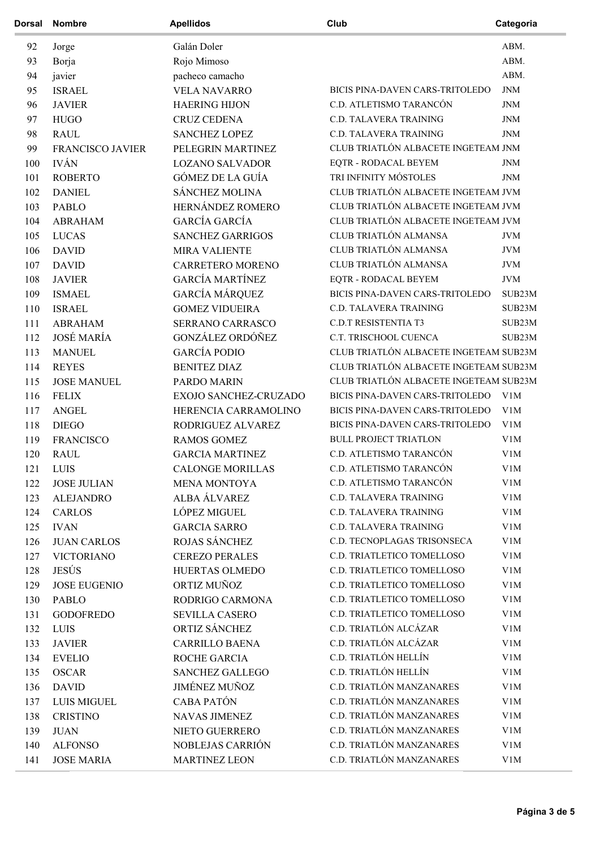| <b>Dorsal</b> | <b>Nombre</b>       | <b>Apellidos</b>        | Club                                   | Categoria        |
|---------------|---------------------|-------------------------|----------------------------------------|------------------|
| 92            | Jorge               | Galán Doler             |                                        | ABM.             |
| 93            | Borja               | Rojo Mimoso             |                                        | ABM.             |
| 94            | javier              | pacheco camacho         |                                        | ABM.             |
| 95            | <b>ISRAEL</b>       | <b>VELA NAVARRO</b>     | BICIS PINA-DAVEN CARS-TRITOLEDO        | $JNM$            |
| 96            | <b>JAVIER</b>       | <b>HAERING HIJON</b>    | C.D. ATLETISMO TARANCÓN                | $JNM$            |
| 97            | <b>HUGO</b>         | CRUZ CEDENA             | C.D. TALAVERA TRAINING                 | <b>JNM</b>       |
| 98            | <b>RAUL</b>         | <b>SANCHEZ LOPEZ</b>    | C.D. TALAVERA TRAINING                 | $JNM$            |
| 99            | FRANCISCO JAVIER    | PELEGRIN MARTINEZ       | CLUB TRIATLÓN ALBACETE INGETEAM JNM    |                  |
| 100           | <b>IVÁN</b>         | <b>LOZANO SALVADOR</b>  | EQTR - RODACAL BEYEM                   | <b>JNM</b>       |
| 101           | <b>ROBERTO</b>      | GÓMEZ DE LA GUÍA        | TRI INFINITY MÓSTOLES                  | <b>JNM</b>       |
| 102           | <b>DANIEL</b>       | <b>SÁNCHEZ MOLINA</b>   | CLUB TRIATLÓN ALBACETE INGETEAM JVM    |                  |
| 103           | <b>PABLO</b>        | HERNÁNDEZ ROMERO        | CLUB TRIATLÓN ALBACETE INGETEAM JVM    |                  |
| 104           | <b>ABRAHAM</b>      | GARCÍA GARCÍA           | CLUB TRIATLÓN ALBACETE INGETEAM JVM    |                  |
| 105           | <b>LUCAS</b>        | <b>SANCHEZ GARRIGOS</b> | CLUB TRIATLÓN ALMANSA                  | <b>JVM</b>       |
| 106           | <b>DAVID</b>        | <b>MIRA VALIENTE</b>    | CLUB TRIATLÓN ALMANSA                  | <b>JVM</b>       |
| 107           | <b>DAVID</b>        | CARRETERO MORENO        | CLUB TRIATLÓN ALMANSA                  | <b>JVM</b>       |
| 108           | <b>JAVIER</b>       | <b>GARCÍA MARTÍNEZ</b>  | EQTR - RODACAL BEYEM                   | <b>JVM</b>       |
| 109           | <b>ISMAEL</b>       | <b>GARCÍA MÁRQUEZ</b>   | BICIS PINA-DAVEN CARS-TRITOLEDO        | SUB23M           |
| 110           | <b>ISRAEL</b>       | <b>GOMEZ VIDUEIRA</b>   | C.D. TALAVERA TRAINING                 | SUB23M           |
| 111           | <b>ABRAHAM</b>      | SERRANO CARRASCO        | <b>C.D.T RESISTENTIA T3</b>            | SUB23M           |
| 112           | <b>JOSÉ MARÍA</b>   | GONZÁLEZ ORDÓÑEZ        | C.T. TRISCHOOL CUENCA                  | SUB23M           |
| 113           | <b>MANUEL</b>       | <b>GARCÍA PODIO</b>     | CLUB TRIATLÓN ALBACETE INGETEAM SUB23M |                  |
| 114           | <b>REYES</b>        | <b>BENITEZ DIAZ</b>     | CLUB TRIATLÓN ALBACETE INGETEAM SUB23M |                  |
| 115           | <b>JOSE MANUEL</b>  | PARDO MARIN             | CLUB TRIATLÓN ALBACETE INGETEAM SUB23M |                  |
| 116           | <b>FELIX</b>        | EXOJO SANCHEZ-CRUZADO   | BICIS PINA-DAVEN CARS-TRITOLEDO        | V1M              |
| 117           | <b>ANGEL</b>        | HERENCIA CARRAMOLINO    | BICIS PINA-DAVEN CARS-TRITOLEDO        | V1M              |
| 118           | <b>DIEGO</b>        | RODRIGUEZ ALVAREZ       | BICIS PINA-DAVEN CARS-TRITOLEDO        | V1M              |
| 119           | <b>FRANCISCO</b>    | <b>RAMOS GOMEZ</b>      | <b>BULL PROJECT TRIATLON</b>           | V1M              |
| 120           | <b>RAUL</b>         | <b>GARCIA MARTINEZ</b>  | C.D. ATLETISMO TARANCÓN                | V1M              |
| 121           | LUIS                | CALONGE MORILLAS        | C.D. ATLETISMO TARANCÓN                | V1M              |
| 122           | <b>JOSE JULIAN</b>  | <b>MENA MONTOYA</b>     | C.D. ATLETISMO TARANCÓN                | V1M              |
| 123           | <b>ALEJANDRO</b>    | ALBA ÁLVAREZ            | C.D. TALAVERA TRAINING                 | V1M              |
| 124           | <b>CARLOS</b>       | LÓPEZ MIGUEL            | C.D. TALAVERA TRAINING                 | V1M              |
| 125           | <b>IVAN</b>         | <b>GARCIA SARRO</b>     | C.D. TALAVERA TRAINING                 | V1M              |
| 126           | <b>JUAN CARLOS</b>  | ROJAS SÁNCHEZ           | C.D. TECNOPLAGAS TRISONSECA            | V1M              |
| 127           | <b>VICTORIANO</b>   | <b>CEREZO PERALES</b>   | C.D. TRIATLETICO TOMELLOSO             | V <sub>1</sub> M |
| 128           | <b>JESÚS</b>        | HUERTAS OLMEDO          | C.D. TRIATLETICO TOMELLOSO             | V1M              |
| 129           | <b>JOSE EUGENIO</b> | ORTIZ MUÑOZ             | C.D. TRIATLETICO TOMELLOSO             | V1M              |
| 130           | PABLO               | RODRIGO CARMONA         | C.D. TRIATLETICO TOMELLOSO             | V1M              |
| 131           | <b>GODOFREDO</b>    | <b>SEVILLA CASERO</b>   | C.D. TRIATLETICO TOMELLOSO             | V1M              |
| 132           | LUIS                | ORTIZ SÁNCHEZ           | C.D. TRIATLÓN ALCÁZAR                  | V1M              |
| 133           | <b>JAVIER</b>       | <b>CARRILLO BAENA</b>   | C.D. TRIATLÓN ALCÁZAR                  | V1M              |
| 134           | <b>EVELIO</b>       | ROCHE GARCIA            | C.D. TRIATLÓN HELLÍN                   | V1M              |
| 135           | <b>OSCAR</b>        | <b>SANCHEZ GALLEGO</b>  | C.D. TRIATLÓN HELLÍN                   | V1M              |
| 136           | <b>DAVID</b>        | <b>JIMÉNEZ MUÑOZ</b>    | C.D. TRIATLÓN MANZANARES               | V1M              |
| 137           | <b>LUIS MIGUEL</b>  | <b>CABA PATÓN</b>       | C.D. TRIATLÓN MANZANARES               | V1M              |
| 138           | <b>CRISTINO</b>     | NAVAS JIMENEZ           | C.D. TRIATLÓN MANZANARES               | V1M              |
| 139           | <b>JUAN</b>         | NIETO GUERRERO          | C.D. TRIATLÓN MANZANARES               | V1M              |
| 140           | <b>ALFONSO</b>      | NOBLEJAS CARRIÓN        | C.D. TRIATLÓN MANZANARES               | V1M              |
| 141           | <b>JOSE MARIA</b>   | <b>MARTINEZ LEON</b>    | C.D. TRIATLÓN MANZANARES               | V1M              |
|               |                     |                         |                                        |                  |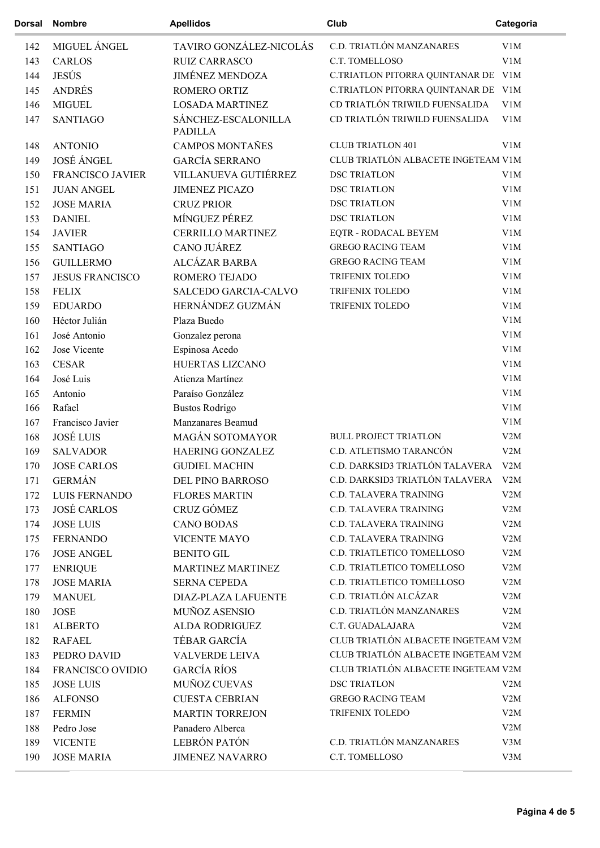| <b>Dorsal</b> | <b>Nombre</b>                   | <b>Apellidos</b>                            | Club                                | Categoria |
|---------------|---------------------------------|---------------------------------------------|-------------------------------------|-----------|
| 142           | MIGUEL ÁNGEL                    | TAVIRO GONZÁLEZ-NICOLÁS                     | C.D. TRIATLÓN MANZANARES            | V1M       |
| 143           | <b>CARLOS</b>                   | <b>RUIZ CARRASCO</b>                        | C.T. TOMELLOSO                      | V1M       |
| 144           | <b>JESÚS</b>                    | <b>JIMÉNEZ MENDOZA</b>                      | C.TRIATLON PITORRA QUINTANAR DE V1M |           |
| 145           | <b>ANDRÉS</b>                   | ROMERO ORTIZ                                | C.TRIATLON PITORRA QUINTANAR DE V1M |           |
| 146           | <b>MIGUEL</b>                   | <b>LOSADA MARTINEZ</b>                      | CD TRIATLÓN TRIWILD FUENSALIDA      | V1M       |
| 147           | <b>SANTIAGO</b>                 | SÁNCHEZ-ESCALONILLA<br><b>PADILLA</b>       | CD TRIATLÓN TRIWILD FUENSALIDA      | V1M       |
| 148           | <b>ANTONIO</b>                  | <b>CAMPOS MONTAÑES</b>                      | <b>CLUB TRIATLON 401</b>            | V1M       |
| 149           | <b>JOSÉ ÁNGEL</b>               | <b>GARCÍA SERRANO</b>                       | CLUB TRIATLÓN ALBACETE INGETEAM V1M |           |
| 150           | <b>FRANCISCO JAVIER</b>         | VILLANUEVA GUTIÉRREZ                        | <b>DSC TRIATLON</b>                 | V1M       |
| 151           | <b>JUAN ANGEL</b>               | <b>JIMENEZ PICAZO</b>                       | <b>DSC TRIATLON</b>                 | V1M       |
| 152           | <b>JOSE MARIA</b>               | <b>CRUZ PRIOR</b>                           | <b>DSC TRIATLON</b>                 | V1M       |
| 153           | <b>DANIEL</b>                   | MÍNGUEZ PÉREZ                               | <b>DSC TRIATLON</b>                 | V1M       |
| 154           | <b>JAVIER</b>                   | <b>CERRILLO MARTINEZ</b>                    | EQTR - RODACAL BEYEM                | V1M       |
| 155           | <b>SANTIAGO</b>                 | CANO JUÁREZ                                 | <b>GREGO RACING TEAM</b>            | V1M       |
| 156           | <b>GUILLERMO</b>                | <b>ALCÁZAR BARBA</b>                        | <b>GREGO RACING TEAM</b>            | V1M       |
| 157           | <b>JESUS FRANCISCO</b>          | <b>ROMERO TEJADO</b>                        | TRIFENIX TOLEDO                     | V1M       |
| 158           | <b>FELIX</b>                    | SALCEDO GARCIA-CALVO                        | TRIFENIX TOLEDO                     | V1M       |
| 159           | <b>EDUARDO</b>                  | HERNÁNDEZ GUZMÁN                            | TRIFENIX TOLEDO                     | V1M       |
| 160           | Héctor Julián                   | Plaza Buedo                                 |                                     | V1M       |
| 161           | José Antonio                    | Gonzalez perona                             |                                     | V1M       |
| 162           | Jose Vicente                    | Espinosa Acedo                              |                                     | V1M       |
| 163           | <b>CESAR</b>                    | HUERTAS LIZCANO                             |                                     | V1M       |
| 164           | José Luis                       | Atienza Martínez                            |                                     | V1M       |
| 165           | Antonio                         | Paraíso González                            |                                     | V1M       |
| 166           | Rafael                          | <b>Bustos Rodrigo</b>                       |                                     | V1M       |
| 167           | Francisco Javier                | Manzanares Beamud                           |                                     | V1M       |
| 168           | <b>JOSÉ LUIS</b>                | MAGÁN SOTOMAYOR                             | <b>BULL PROJECT TRIATLON</b>        | V2M       |
| 169           | <b>SALVADOR</b>                 | HAERING GONZALEZ                            | C.D. ATLETISMO TARANCÓN             | V2M       |
| 170           | <b>JOSE CARLOS</b>              | <b>GUDIEL MACHIN</b>                        | C.D. DARKSID3 TRIATLÓN TALAVERA     | V2M       |
| 171           | <b>GERMÁN</b>                   | DEL PINO BARROSO                            | C.D. DARKSID3 TRIATLÓN TALAVERA     | V2M       |
| 172           | LUIS FERNANDO                   | <b>FLORES MARTIN</b>                        | C.D. TALAVERA TRAINING              | V2M       |
| 173           | <b>JOSÉ CARLOS</b>              | CRUZ GÓMEZ                                  | C.D. TALAVERA TRAINING              | V2M       |
| 174           | <b>JOSE LUIS</b>                | <b>CANO BODAS</b>                           | C.D. TALAVERA TRAINING              | V2M       |
| 175           | <b>FERNANDO</b>                 | <b>VICENTE MAYO</b>                         | C.D. TALAVERA TRAINING              | V2M       |
| 176           | <b>JOSE ANGEL</b>               | <b>BENITO GIL</b>                           | C.D. TRIATLETICO TOMELLOSO          | V2M       |
| 177           | <b>ENRIQUE</b>                  | MARTINEZ MARTINEZ                           | C.D. TRIATLETICO TOMELLOSO          | V2M       |
| 178           | <b>JOSE MARIA</b>               | <b>SERNA CEPEDA</b>                         | C.D. TRIATLETICO TOMELLOSO          | V2M       |
| 179           | <b>MANUEL</b>                   | DIAZ-PLAZA LAFUENTE                         | C.D. TRIATLÓN ALCÁZAR               | V2M       |
| 180           | JOSE                            | MUÑOZ ASENSIO                               | C.D. TRIATLÓN MANZANARES            | V2M       |
| 181           | <b>ALBERTO</b>                  | <b>ALDA RODRIGUEZ</b>                       | C.T. GUADALAJARA                    | V2M       |
| 182           | <b>RAFAEL</b>                   | TÉBAR GARCÍA                                | CLUB TRIATLÓN ALBACETE INGETEAM V2M |           |
|               |                                 |                                             | CLUB TRIATLÓN ALBACETE INGETEAM V2M |           |
| 183<br>184    | PEDRO DAVID<br>FRANCISCO OVIDIO | <b>VALVERDE LEIVA</b><br><b>GARCÍA RÍOS</b> | CLUB TRIATLÓN ALBACETE INGETEAM V2M |           |
|               |                                 |                                             |                                     |           |
| 185           | <b>JOSE LUIS</b>                | MUÑOZ CUEVAS                                | <b>DSC TRIATLON</b>                 | V2M       |
| 186           | <b>ALFONSO</b>                  | <b>CUESTA CEBRIAN</b>                       | <b>GREGO RACING TEAM</b>            | V2M       |
| 187           | <b>FERMIN</b>                   | <b>MARTIN TORREJON</b>                      | TRIFENIX TOLEDO                     | V2M       |
| 188           | Pedro Jose                      | Panadero Alberca                            |                                     | V2M       |
| 189           | <b>VICENTE</b>                  | LEBRÓN PATÓN                                | C.D. TRIATLÓN MANZANARES            | V3M       |
| 190           | <b>JOSE MARIA</b>               | <b>JIMENEZ NAVARRO</b>                      | C.T. TOMELLOSO                      | V3M       |